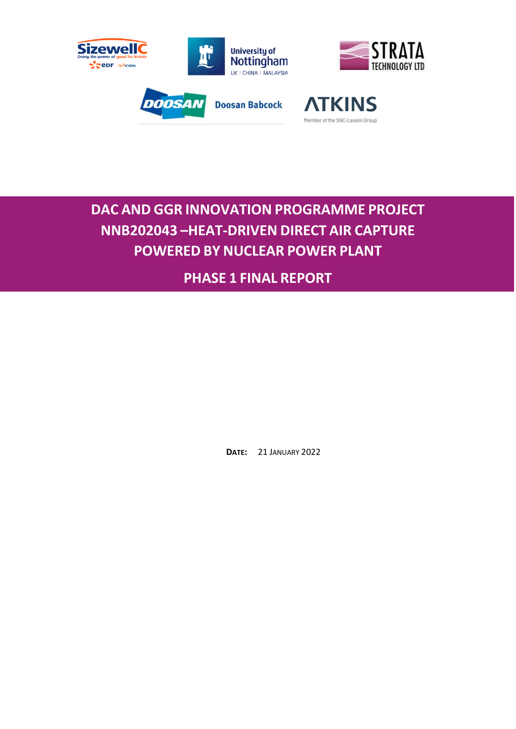

# **DAC AND GGR INNOVATION PROGRAMME PROJECT NNB202043 –HEAT-DRIVEN DIRECT AIR CAPTURE POWERED BY NUCLEAR POWER PLANT**

**PHASE 1 FINAL REPORT**

**DATE:** 21 JANUARY 2022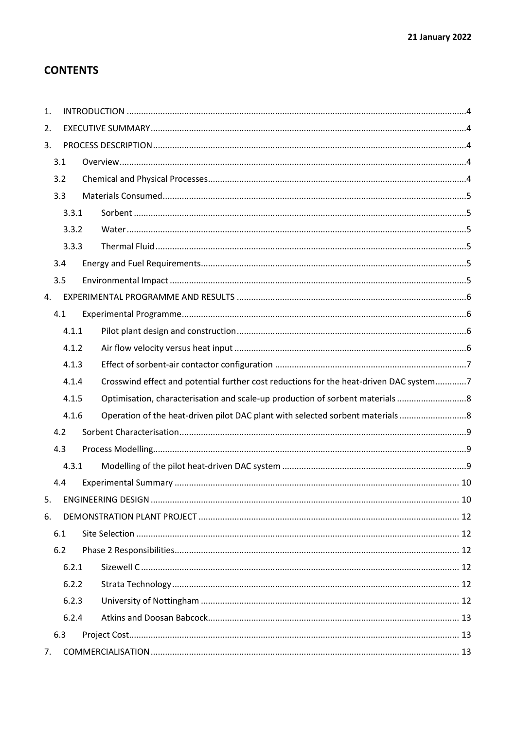# **CONTENTS**

| 1.             |       |       |                                                                                        |  |  |  |
|----------------|-------|-------|----------------------------------------------------------------------------------------|--|--|--|
| 2.             |       |       |                                                                                        |  |  |  |
| 3.             |       |       |                                                                                        |  |  |  |
|                | 3.1   |       |                                                                                        |  |  |  |
|                | 3.2   |       |                                                                                        |  |  |  |
|                | 3.3   |       |                                                                                        |  |  |  |
|                |       | 3.3.1 |                                                                                        |  |  |  |
| 3.3.2<br>3.3.3 |       |       |                                                                                        |  |  |  |
|                |       |       |                                                                                        |  |  |  |
|                | 3.4   |       |                                                                                        |  |  |  |
|                | 3.5   |       |                                                                                        |  |  |  |
| 4.             |       |       |                                                                                        |  |  |  |
|                | 4.1   |       |                                                                                        |  |  |  |
|                |       | 4.1.1 |                                                                                        |  |  |  |
|                | 4.1.2 |       |                                                                                        |  |  |  |
|                | 4.1.3 |       |                                                                                        |  |  |  |
|                |       | 4.1.4 | Crosswind effect and potential further cost reductions for the heat-driven DAC system7 |  |  |  |
|                |       | 4.1.5 | Optimisation, characterisation and scale-up production of sorbent materials            |  |  |  |
|                |       | 4.1.6 | Operation of the heat-driven pilot DAC plant with selected sorbent materials           |  |  |  |
|                | 4.2   |       |                                                                                        |  |  |  |
|                | 4.3   |       |                                                                                        |  |  |  |
|                |       | 4.3.1 |                                                                                        |  |  |  |
|                | 4.4   |       |                                                                                        |  |  |  |
| 5.             |       |       |                                                                                        |  |  |  |
| 6.             |       |       |                                                                                        |  |  |  |
|                | 6.1   |       |                                                                                        |  |  |  |
|                | 6.2   |       |                                                                                        |  |  |  |
|                |       | 6.2.1 |                                                                                        |  |  |  |
| 6.2.2<br>6.2.3 |       |       |                                                                                        |  |  |  |
|                |       |       |                                                                                        |  |  |  |
|                |       | 6.2.4 |                                                                                        |  |  |  |
|                | 6.3   |       |                                                                                        |  |  |  |
| 7.             |       |       |                                                                                        |  |  |  |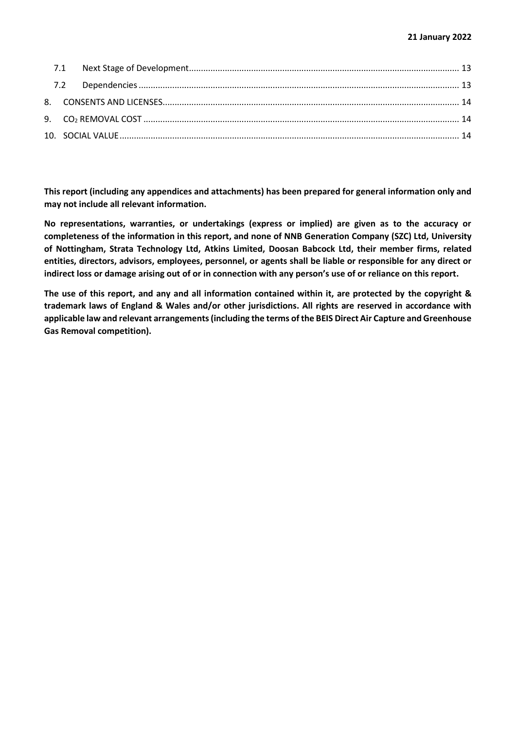**This report (including any appendices and attachments) has been prepared for general information only and may not include all relevant information.**

**No representations, warranties, or undertakings (express or implied) are given as to the accuracy or completeness of the information in this report, and none of NNB Generation Company (SZC) Ltd, University of Nottingham, Strata Technology Ltd, Atkins Limited, Doosan Babcock Ltd, their member firms, related entities, directors, advisors, employees, personnel, or agents shall be liable or responsible for any direct or indirect loss or damage arising out of or in connection with any person's use of or reliance on this report.**

**The use of this report, and any and all information contained within it, are protected by the copyright & trademark laws of England & Wales and/or other jurisdictions. All rights are reserved in accordance with applicable law and relevant arrangements (including the terms of the BEIS Direct Air Capture and Greenhouse Gas Removal competition).**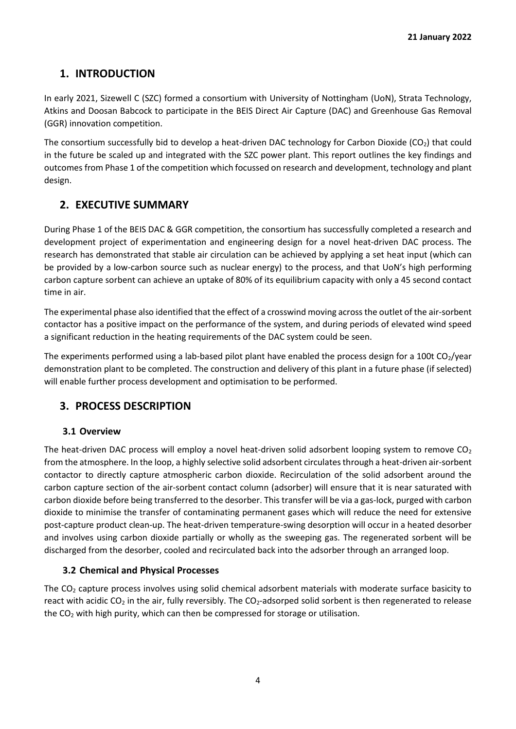# <span id="page-3-0"></span>**1. INTRODUCTION**

In early 2021, Sizewell C (SZC) formed a consortium with University of Nottingham (UoN), Strata Technology, Atkins and Doosan Babcock to participate in the BEIS Direct Air Capture (DAC) and Greenhouse Gas Removal (GGR) innovation competition.

The consortium successfully bid to develop a heat-driven DAC technology for Carbon Dioxide (CO<sub>2</sub>) that could in the future be scaled up and integrated with the SZC power plant. This report outlines the key findings and outcomes from Phase 1 of the competition which focussed on research and development, technology and plant design.

# <span id="page-3-1"></span>**2. EXECUTIVE SUMMARY**

During Phase 1 of the BEIS DAC & GGR competition, the consortium has successfully completed a research and development project of experimentation and engineering design for a novel heat-driven DAC process. The research has demonstrated that stable air circulation can be achieved by applying a set heat input (which can be provided by a low-carbon source such as nuclear energy) to the process, and that UoN's high performing carbon capture sorbent can achieve an uptake of 80% of its equilibrium capacity with only a 45 second contact time in air.

The experimental phase also identified that the effect of a crosswind moving across the outlet of the air-sorbent contactor has a positive impact on the performance of the system, and during periods of elevated wind speed a significant reduction in the heating requirements of the DAC system could be seen.

The experiments performed using a lab-based pilot plant have enabled the process design for a 100t  $CO<sub>2</sub>/year$ demonstration plant to be completed. The construction and delivery of this plant in a future phase (if selected) will enable further process development and optimisation to be performed.

# <span id="page-3-2"></span>**3. PROCESS DESCRIPTION**

# **3.1 Overview**

<span id="page-3-3"></span>The heat-driven DAC process will employ a novel heat-driven solid adsorbent looping system to remove  $CO<sub>2</sub>$ from the atmosphere. In the loop, a highly selective solid adsorbent circulates through a heat-driven air-sorbent contactor to directly capture atmospheric carbon dioxide. Recirculation of the solid adsorbent around the carbon capture section of the air-sorbent contact column (adsorber) will ensure that it is near saturated with carbon dioxide before being transferred to the desorber. This transfer will be via a gas-lock, purged with carbon dioxide to minimise the transfer of contaminating permanent gases which will reduce the need for extensive post-capture product clean-up. The heat-driven temperature-swing desorption will occur in a heated desorber and involves using carbon dioxide partially or wholly as the sweeping gas. The regenerated sorbent will be discharged from the desorber, cooled and recirculated back into the adsorber through an arranged loop.

# **3.2 Chemical and Physical Processes**

<span id="page-3-4"></span>The  $CO<sub>2</sub>$  capture process involves using solid chemical adsorbent materials with moderate surface basicity to react with acidic  $CO_2$  in the air, fully reversibly. The  $CO_2$ -adsorped solid sorbent is then regenerated to release the  $CO<sub>2</sub>$  with high purity, which can then be compressed for storage or utilisation.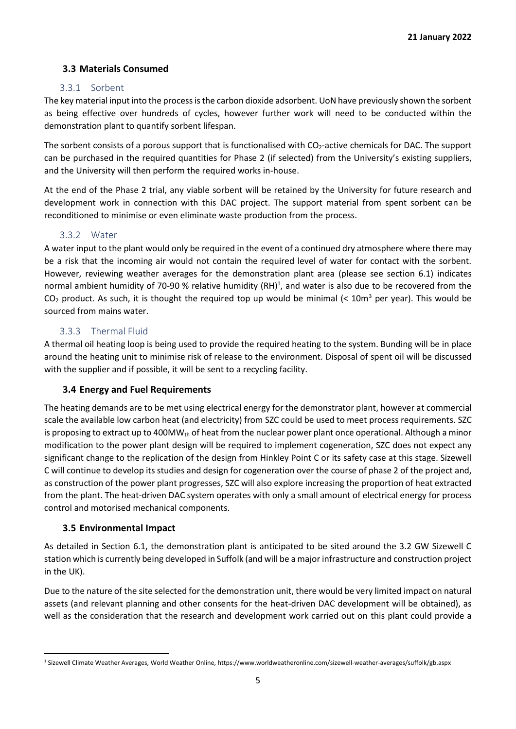#### <span id="page-4-0"></span>**3.3 Materials Consumed**

#### 3.3.1 Sorbent

<span id="page-4-1"></span>The key material input into the process is the carbon dioxide adsorbent. UoN have previously shown the sorbent as being effective over hundreds of cycles, however further work will need to be conducted within the demonstration plant to quantify sorbent lifespan.

The sorbent consists of a porous support that is functionalised with CO<sub>2</sub>-active chemicals for DAC. The support can be purchased in the required quantities for Phase 2 (if selected) from the University's existing suppliers, and the University will then perform the required works in-house.

At the end of the Phase 2 trial, any viable sorbent will be retained by the University for future research and development work in connection with this DAC project. The support material from spent sorbent can be reconditioned to minimise or even eliminate waste production from the process.

#### 3.3.2 Water

<span id="page-4-2"></span>A water input to the plant would only be required in the event of a continued dry atmosphere where there may be a risk that the incoming air would not contain the required level of water for contact with the sorbent. However, reviewing weather averages for the demonstration plant area (please see section 6.1) indicates normal ambient humidity of 70-90 % relative humidity (RH)<sup>1</sup>, and water is also due to be recovered from the  $CO<sub>2</sub>$  product. As such, it is thought the required top up would be minimal (< 10m<sup>3</sup> per year). This would be sourced from mains water.

#### 3.3.3 Thermal Fluid

<span id="page-4-3"></span>A thermal oil heating loop is being used to provide the required heating to the system. Bunding will be in place around the heating unit to minimise risk of release to the environment. Disposal of spent oil will be discussed with the supplier and if possible, it will be sent to a recycling facility.

#### **3.4 Energy and Fuel Requirements**

<span id="page-4-4"></span>The heating demands are to be met using electrical energy for the demonstrator plant, however at commercial scale the available low carbon heat (and electricity) from SZC could be used to meet process requirements. SZC is proposing to extract up to 400MW<sub>th</sub> of heat from the nuclear power plant once operational. Although a minor modification to the power plant design will be required to implement cogeneration, SZC does not expect any significant change to the replication of the design from Hinkley Point C or its safety case at this stage. Sizewell C will continue to develop its studies and design for cogeneration over the course of phase 2 of the project and, as construction of the power plant progresses, SZC will also explore increasing the proportion of heat extracted from the plant. The heat-driven DAC system operates with only a small amount of electrical energy for process control and motorised mechanical components.

#### **3.5 Environmental Impact**

<span id="page-4-5"></span>As detailed in Section 6.1, the demonstration plant is anticipated to be sited around the 3.2 GW Sizewell C station which is currently being developed in Suffolk (and will be a major infrastructure and construction project in the UK).

Due to the nature of the site selected for the demonstration unit, there would be very limited impact on natural assets (and relevant planning and other consents for the heat-driven DAC development will be obtained), as well as the consideration that the research and development work carried out on this plant could provide a

<sup>1</sup> Sizewell Climate Weather Averages, World Weather Online, <https://www.worldweatheronline.com/sizewell-weather-averages/suffolk/gb.aspx>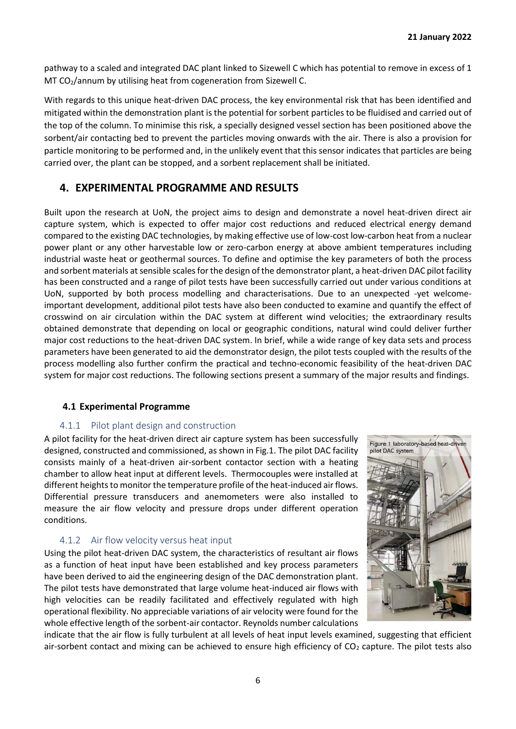pathway to a scaled and integrated DAC plant linked to Sizewell C which has potential to remove in excess of 1 MT CO2/annum by utilising heat from cogeneration from Sizewell C.

With regards to this unique heat-driven DAC process, the key environmental risk that has been identified and mitigated within the demonstration plant is the potential for sorbent particles to be fluidised and carried out of the top of the column. To minimise this risk, a specially designed vessel section has been positioned above the sorbent/air contacting bed to prevent the particles moving onwards with the air. There is also a provision for particle monitoring to be performed and, in the unlikely event that this sensor indicates that particles are being carried over, the plant can be stopped, and a sorbent replacement shall be initiated.

# <span id="page-5-0"></span>**4. EXPERIMENTAL PROGRAMME AND RESULTS**

Built upon the research at UoN, the project aims to design and demonstrate a novel heat-driven direct air capture system, which is expected to offer major cost reductions and reduced electrical energy demand compared to the existing DAC technologies, by making effective use of low-cost low-carbon heat from a nuclear power plant or any other harvestable low or zero-carbon energy at above ambient temperatures including industrial waste heat or geothermal sources. To define and optimise the key parameters of both the process and sorbent materials at sensible scales for the design of the demonstrator plant, a heat-driven DAC pilot facility has been constructed and a range of pilot tests have been successfully carried out under various conditions at UoN, supported by both process modelling and characterisations. Due to an unexpected -yet welcomeimportant development, additional pilot tests have also been conducted to examine and quantify the effect of crosswind on air circulation within the DAC system at different wind velocities; the extraordinary results obtained demonstrate that depending on local or geographic conditions, natural wind could deliver further major cost reductions to the heat-driven DAC system. In brief, while a wide range of key data sets and process parameters have been generated to aid the demonstrator design, the pilot tests coupled with the results of the process modelling also further confirm the practical and techno-economic feasibility of the heat-driven DAC system for major cost reductions. The following sections present a summary of the major results and findings.

#### <span id="page-5-1"></span>**4.1 Experimental Programme**

#### 4.1.1 Pilot plant design and construction

<span id="page-5-2"></span>A pilot facility for the heat-driven direct air capture system has been successfully designed, constructed and commissioned, as shown in Fig.1. The pilot DAC facility consists mainly of a heat-driven air-sorbent contactor section with a heating chamber to allow heat input at different levels. Thermocouples were installed at different heights to monitor the temperature profile of the heat-induced air flows. Differential pressure transducers and anemometers were also installed to measure the air flow velocity and pressure drops under different operation conditions.

#### 4.1.2 Air flow velocity versus heat input

<span id="page-5-3"></span>Using the pilot heat-driven DAC system, the characteristics of resultant air flows as a function of heat input have been established and key process parameters have been derived to aid the engineering design of the DAC demonstration plant. The pilot tests have demonstrated that large volume heat-induced air flows with high velocities can be readily facilitated and effectively regulated with high operational flexibility. No appreciable variations of air velocity were found for the whole effective length of the sorbent-air contactor. Reynolds number calculations



indicate that the air flow is fully turbulent at all levels of heat input levels examined, suggesting that efficient air-sorbent contact and mixing can be achieved to ensure high efficiency of  $CO<sub>2</sub>$  capture. The pilot tests also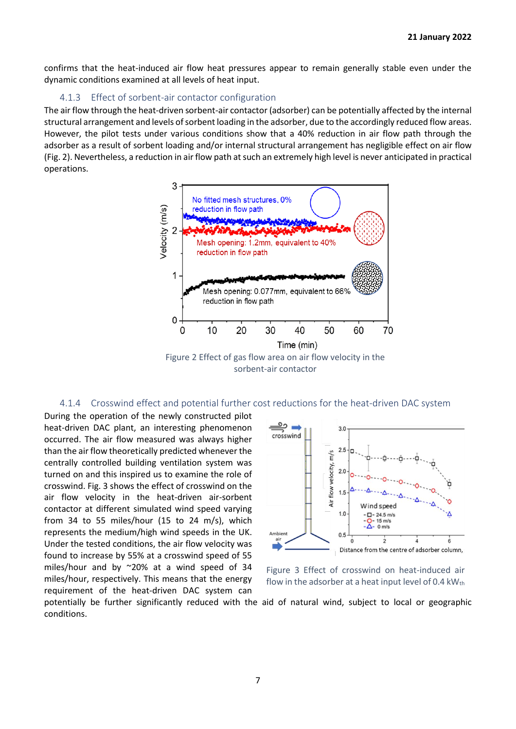confirms that the heat-induced air flow heat pressures appear to remain generally stable even under the dynamic conditions examined at all levels of heat input.

#### 4.1.3 Effect of sorbent-air contactor configuration

<span id="page-6-0"></span>The air flow through the heat-driven sorbent-air contactor (adsorber) can be potentially affected by the internal structural arrangement and levels of sorbent loading in the adsorber, due to the accordingly reduced flow areas. However, the pilot tests under various conditions show that a 40% reduction in air flow path through the adsorber as a result of sorbent loading and/or internal structural arrangement has negligible effect on air flow (Fig. 2). Nevertheless, a reduction in air flow path at such an extremely high level is never anticipated in practical operations.



#### 4.1.4 Crosswind effect and potential further cost reductions for the heat-driven DAC system

<span id="page-6-1"></span>During the operation of the newly constructed pilot heat-driven DAC plant, an interesting phenomenon occurred. The air flow measured was always higher than the air flow theoretically predicted whenever the centrally controlled building ventilation system was turned on and this inspired us to examine the role of crosswind. Fig. 3 shows the effect of crosswind on the air flow velocity in the heat-driven air-sorbent contactor at different simulated wind speed varying from 34 to 55 miles/hour (15 to 24 m/s), which represents the medium/high wind speeds in the UK. Under the tested conditions, the air flow velocity was found to increase by 55% at a crosswind speed of 55 miles/hour and by ~20% at a wind speed of 34 miles/hour, respectively. This means that the energy requirement of the heat-driven DAC system can



Figure 3 Effect of crosswind on heat-induced air flow in the adsorber at a heat input level of 0.4  $kW_{th}$ 

potentially be further significantly reduced with the aid of natural wind, subject to local or geographic conditions.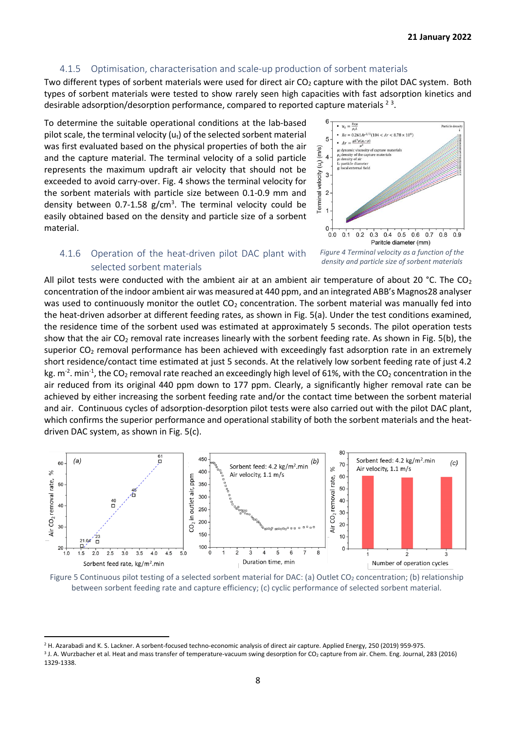#### 4.1.5 Optimisation, characterisation and scale-up production of sorbent materials

<span id="page-7-0"></span>Two different types of sorbent materials were used for direct air  $CO<sub>2</sub>$  capture with the pilot DAC system. Both types of sorbent materials were tested to show rarely seen high capacities with fast adsorption kinetics and desirable adsorption/desorption performance, compared to reported capture materials  $^{2}$  3.

To determine the suitable operational conditions at the lab-based pilot scale, the terminal velocity  $(u_t)$  of the selected sorbent material was first evaluated based on the physical properties of both the air and the capture material. The terminal velocity of a solid particle represents the maximum updraft air velocity that should not be exceeded to avoid carry-over. Fig. 4 shows the terminal velocity for the sorbent materials with particle size between 0.1-0.9 mm and density between 0.7-1.58  $g/cm<sup>3</sup>$ . The terminal velocity could be easily obtained based on the density and particle size of a sorbent material.



#### *Figure 4 Terminal velocity as a function of the density and particle size of sorbent materials*

#### <span id="page-7-1"></span>4.1.6 Operation of the heat-driven pilot DAC plant with selected sorbent materials

All pilot tests were conducted with the ambient air at an ambient air temperature of about 20 °C. The  $CO<sub>2</sub>$ concentration of the indoor ambient air was measured at 440 ppm, and an integrated ABB's Magnos28 analyser was used to continuously monitor the outlet  $CO<sub>2</sub>$  concentration. The sorbent material was manually fed into the heat-driven adsorber at different feeding rates, as shown in Fig. 5(a). Under the test conditions examined, the residence time of the sorbent used was estimated at approximately 5 seconds. The pilot operation tests show that the air  $CO_2$  removal rate increases linearly with the sorbent feeding rate. As shown in Fig. 5(b), the superior CO<sub>2</sub> removal performance has been achieved with exceedingly fast adsorption rate in an extremely short residence/contact time estimated at just 5 seconds. At the relatively low sorbent feeding rate of just 4.2 kg. m<sup>-2</sup>. min<sup>-1</sup>, the CO<sub>2</sub> removal rate reached an exceedingly high level of 61%, with the CO<sub>2</sub> concentration in the air reduced from its original 440 ppm down to 177 ppm. Clearly, a significantly higher removal rate can be achieved by either increasing the sorbent feeding rate and/or the contact time between the sorbent material and air. Continuous cycles of adsorption-desorption pilot tests were also carried out with the pilot DAC plant, which confirms the superior performance and operational stability of both the sorbent materials and the heatdriven DAC system, as shown in Fig. 5(c).



Figure 5 Continuous pilot testing of a selected sorbent material for DAC: (a) Outlet CO<sub>2</sub> concentration; (b) relationship between sorbent feeding rate and capture efficiency; (c) cyclic performance of selected sorbent material.

<sup>&</sup>lt;sup>2</sup> H. Azarabadi and K. S. Lackner. A sorbent-focused techno-economic analysis of direct air capture. Applied Energy, 250 (2019) 959-975.

<sup>&</sup>lt;sup>3</sup> J. A. Wurzbacher et al. Heat and mass transfer of temperature-vacuum swing desorption for CO<sub>2</sub> capture from air. Chem. Eng. Journal, 283 (2016) 1329-1338.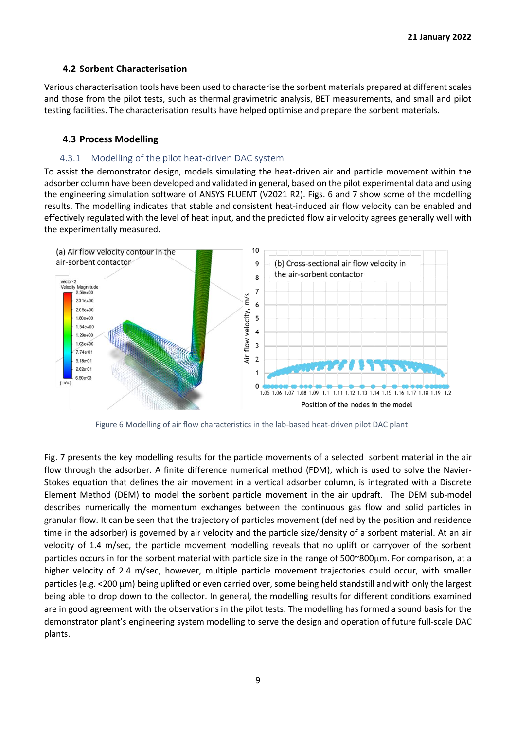#### **4.2 Sorbent Characterisation**

<span id="page-8-0"></span>Various characterisation tools have been used to characterise the sorbent materials prepared at different scales and those from the pilot tests, such as thermal gravimetric analysis, BET measurements, and small and pilot testing facilities. The characterisation results have helped optimise and prepare the sorbent materials.

#### <span id="page-8-1"></span>**4.3 Process Modelling**

#### 4.3.1 Modelling of the pilot heat-driven DAC system

<span id="page-8-2"></span>To assist the demonstrator design, models simulating the heat-driven air and particle movement within the adsorber column have been developed and validated in general, based on the pilot experimental data and using the engineering simulation software of ANSYS FLUENT (V2021 R2). Figs. 6 and 7 show some of the modelling results. The modelling indicates that stable and consistent heat-induced air flow velocity can be enabled and effectively regulated with the level of heat input, and the predicted flow air velocity agrees generally well with the experimentally measured.



Figure 6 Modelling of air flow characteristics in the lab-based heat-driven pilot DAC plant

Fig. 7 presents the key modelling results for the particle movements of a selected sorbent material in the air flow through the adsorber. A finite difference numerical method (FDM), which is used to solve the Navier-Stokes equation that defines the air movement in a vertical adsorber column, is integrated with a Discrete Element Method (DEM) to model the sorbent particle movement in the air updraft. The DEM sub-model describes numerically the momentum exchanges between the continuous gas flow and solid particles in granular flow. It can be seen that the trajectory of particles movement (defined by the position and residence time in the adsorber) is governed by air velocity and the particle size/density of a sorbent material. At an air velocity of 1.4 m/sec, the particle movement modelling reveals that no uplift or carryover of the sorbent particles occurs in for the sorbent material with particle size in the range of 500~800m. For comparison, at a higher velocity of 2.4 m/sec, however, multiple particle movement trajectories could occur, with smaller particles (e.g. <200 µm) being uplifted or even carried over, some being held standstill and with only the largest being able to drop down to the collector. In general, the modelling results for different conditions examined are in good agreement with the observations in the pilot tests. The modelling has formed a sound basis for the demonstrator plant's engineering system modelling to serve the design and operation of future full-scale DAC plants.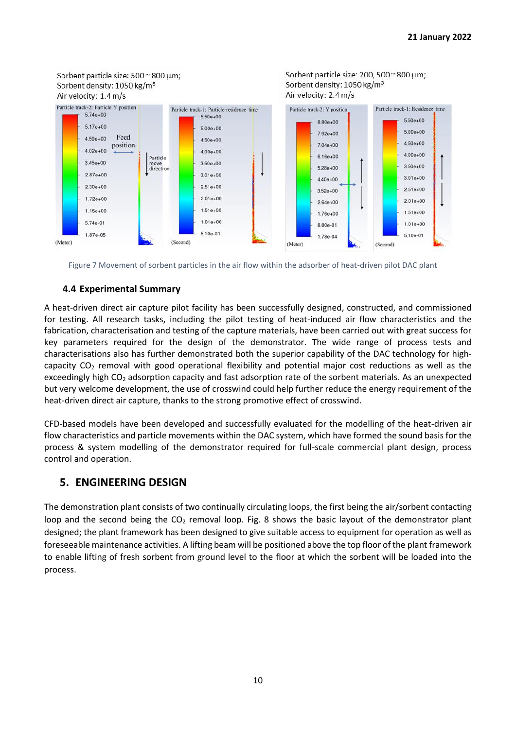

Figure 7 Movement of sorbent particles in the air flow within the adsorber of heat-driven pilot DAC plant

#### <span id="page-9-0"></span>**4.4 Experimental Summary**

A heat-driven direct air capture pilot facility has been successfully designed, constructed, and commissioned for testing. All research tasks, including the pilot testing of heat-induced air flow characteristics and the fabrication, characterisation and testing of the capture materials, have been carried out with great success for key parameters required for the design of the demonstrator. The wide range of process tests and characterisations also has further demonstrated both the superior capability of the DAC technology for highcapacity  $CO<sub>2</sub>$  removal with good operational flexibility and potential major cost reductions as well as the exceedingly high CO<sub>2</sub> adsorption capacity and fast adsorption rate of the sorbent materials. As an unexpected but very welcome development, the use of crosswind could help further reduce the energy requirement of the heat-driven direct air capture, thanks to the strong promotive effect of crosswind.

CFD-based models have been developed and successfully evaluated for the modelling of the heat-driven air flow characteristics and particle movements within the DAC system, which have formed the sound basis for the process & system modelling of the demonstrator required for full-scale commercial plant design, process control and operation.

# <span id="page-9-1"></span>**5. ENGINEERING DESIGN**

The demonstration plant consists of two continually circulating loops, the first being the air/sorbent contacting loop and the second being the  $CO<sub>2</sub>$  removal loop. Fig. 8 shows the basic layout of the demonstrator plant designed; the plant framework has been designed to give suitable access to equipment for operation as well as foreseeable maintenance activities. A lifting beam will be positioned above the top floor of the plant framework to enable lifting of fresh sorbent from ground level to the floor at which the sorbent will be loaded into the process.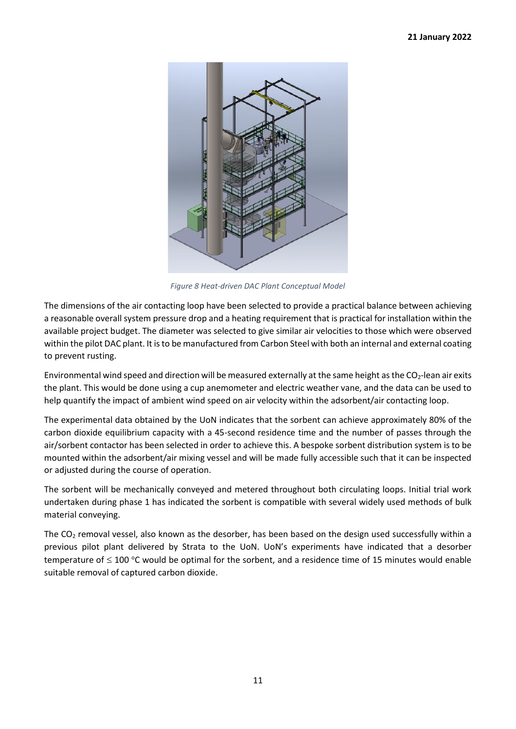

*Figure 8 Heat-driven DAC Plant Conceptual Model*

The dimensions of the air contacting loop have been selected to provide a practical balance between achieving a reasonable overall system pressure drop and a heating requirement that is practical for installation within the available project budget. The diameter was selected to give similar air velocities to those which were observed within the pilot DAC plant. It is to be manufactured from Carbon Steel with both an internal and external coating to prevent rusting.

Environmental wind speed and direction will be measured externally at the same height as the  $CO<sub>2</sub>$ -lean air exits the plant. This would be done using a cup anemometer and electric weather vane, and the data can be used to help quantify the impact of ambient wind speed on air velocity within the adsorbent/air contacting loop.

The experimental data obtained by the UoN indicates that the sorbent can achieve approximately 80% of the carbon dioxide equilibrium capacity with a 45-second residence time and the number of passes through the air/sorbent contactor has been selected in order to achieve this. A bespoke sorbent distribution system is to be mounted within the adsorbent/air mixing vessel and will be made fully accessible such that it can be inspected or adjusted during the course of operation.

The sorbent will be mechanically conveyed and metered throughout both circulating loops. Initial trial work undertaken during phase 1 has indicated the sorbent is compatible with several widely used methods of bulk material conveying.

The CO<sub>2</sub> removal vessel, also known as the desorber, has been based on the design used successfully within a previous pilot plant delivered by Strata to the UoN. UoN's experiments have indicated that a desorber temperature of  $\leq$  100 °C would be optimal for the sorbent, and a residence time of 15 minutes would enable suitable removal of captured carbon dioxide.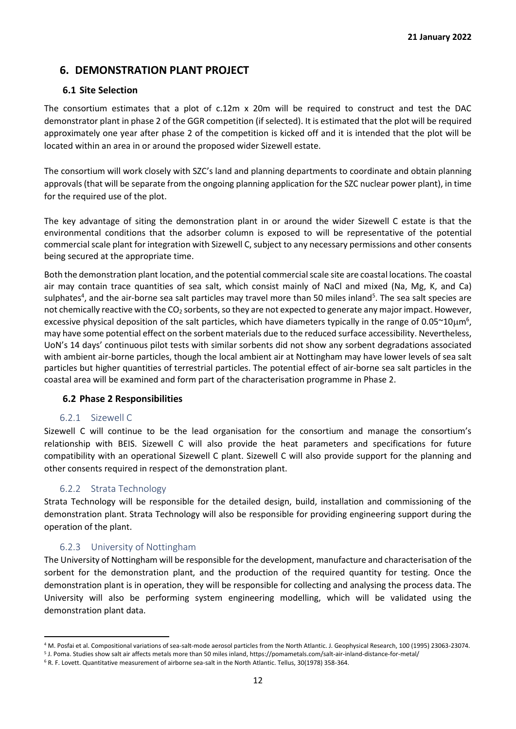# <span id="page-11-0"></span>**6. DEMONSTRATION PLANT PROJECT**

#### **6.1 Site Selection**

<span id="page-11-1"></span>The consortium estimates that a plot of c.12m x 20m will be required to construct and test the DAC demonstrator plant in phase 2 of the GGR competition (if selected). It is estimated that the plot will be required approximately one year after phase 2 of the competition is kicked off and it is intended that the plot will be located within an area in or around the proposed wider Sizewell estate.

The consortium will work closely with SZC's land and planning departments to coordinate and obtain planning approvals (that will be separate from the ongoing planning application for the SZC nuclear power plant), in time for the required use of the plot.

The key advantage of siting the demonstration plant in or around the wider Sizewell C estate is that the environmental conditions that the adsorber column is exposed to will be representative of the potential commercial scale plant for integration with Sizewell C, subject to any necessary permissions and other consents being secured at the appropriate time.

Both the demonstration plant location, and the potential commercial scale site are coastal locations. The coastal air may contain trace quantities of sea salt, which consist mainly of NaCl and mixed (Na, Mg, K, and Ca) sulphates<sup>4</sup>, and the air-borne sea salt particles may travel more than 50 miles inland<sup>5</sup>. The sea salt species are not chemically reactive with the  $CO<sub>2</sub>$  sorbents, so they are not expected to generate any major impact. However, excessive physical deposition of the salt particles, which have diameters typically in the range of 0.05 $\sim$ 10 $\mu$ m<sup>6</sup>, may have some potential effect on the sorbent materials due to the reduced surface accessibility. Nevertheless, UoN's 14 days' continuous pilot tests with similar sorbents did not show any sorbent degradations associated with ambient air-borne particles, though the local ambient air at Nottingham may have lower levels of sea salt particles but higher quantities of terrestrial particles. The potential effect of air-borne sea salt particles in the coastal area will be examined and form part of the characterisation programme in Phase 2.

#### <span id="page-11-2"></span>**6.2 Phase 2 Responsibilities**

#### 6.2.1 Sizewell C

<span id="page-11-3"></span>Sizewell C will continue to be the lead organisation for the consortium and manage the consortium's relationship with BEIS. Sizewell C will also provide the heat parameters and specifications for future compatibility with an operational Sizewell C plant. Sizewell C will also provide support for the planning and other consents required in respect of the demonstration plant.

#### 6.2.2 Strata Technology

<span id="page-11-4"></span>Strata Technology will be responsible for the detailed design, build, installation and commissioning of the demonstration plant. Strata Technology will also be responsible for providing engineering support during the operation of the plant.

#### 6.2.3 University of Nottingham

<span id="page-11-5"></span>The University of Nottingham will be responsible for the development, manufacture and characterisation of the sorbent for the demonstration plant, and the production of the required quantity for testing. Once the demonstration plant is in operation, they will be responsible for collecting and analysing the process data. The University will also be performing system engineering modelling, which will be validated using the demonstration plant data.

<sup>4</sup> M. Posfai et al. Compositional variations of sea-salt-mode aerosol particles from the North Atlantic. J. Geophysical Research, 100 (1995) 23063-23074.

<sup>5</sup> J. Poma. Studies show salt air affects metals more than 50 miles inland, https://pomametals.com/salt-air-inland-distance-for-metal/

<sup>6</sup> R. F. Lovett. Quantitative measurement of airborne sea-salt in the North Atlantic. Tellus, 30(1978) 358-364.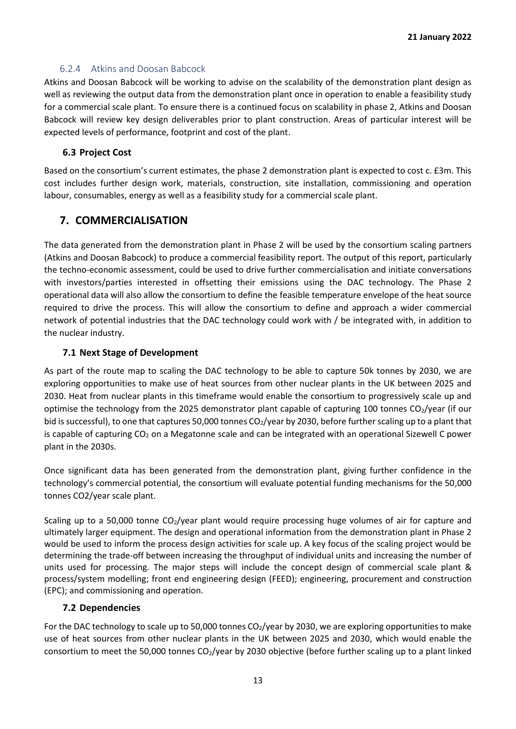#### 6.2.4 Atkins and Doosan Babcock

<span id="page-12-0"></span>Atkins and Doosan Babcock will be working to advise on the scalability of the demonstration plant design as well as reviewing the output data from the demonstration plant once in operation to enable a feasibility study for a commercial scale plant. To ensure there is a continued focus on scalability in phase 2, Atkins and Doosan Babcock will review key design deliverables prior to plant construction. Areas of particular interest will be expected levels of performance, footprint and cost of the plant.

#### **6.3 Project Cost**

<span id="page-12-1"></span>Based on the consortium's current estimates, the phase 2 demonstration plant is expected to cost c. £3m. This cost includes further design work, materials, construction, site installation, commissioning and operation labour, consumables, energy as well as a feasibility study for a commercial scale plant.

# <span id="page-12-2"></span>**7. COMMERCIALISATION**

The data generated from the demonstration plant in Phase 2 will be used by the consortium scaling partners (Atkins and Doosan Babcock) to produce a commercial feasibility report. The output of this report, particularly the techno-economic assessment, could be used to drive further commercialisation and initiate conversations with investors/parties interested in offsetting their emissions using the DAC technology. The Phase 2 operational data will also allow the consortium to define the feasible temperature envelope of the heat source required to drive the process. This will allow the consortium to define and approach a wider commercial network of potential industries that the DAC technology could work with / be integrated with, in addition to the nuclear industry.

#### **7.1 Next Stage of Development**

<span id="page-12-3"></span>As part of the route map to scaling the DAC technology to be able to capture 50k tonnes by 2030, we are exploring opportunities to make use of heat sources from other nuclear plants in the UK between 2025 and 2030. Heat from nuclear plants in this timeframe would enable the consortium to progressively scale up and optimise the technology from the 2025 demonstrator plant capable of capturing 100 tonnes CO<sub>2</sub>/year (if our bid is successful), to one that captures 50,000 tonnes CO<sub>2</sub>/year by 2030, before further scaling up to a plant that is capable of capturing  $CO<sub>2</sub>$  on a Megatonne scale and can be integrated with an operational Sizewell C power plant in the 2030s.

Once significant data has been generated from the demonstration plant, giving further confidence in the technology's commercial potential, the consortium will evaluate potential funding mechanisms for the 50,000 tonnes CO2/year scale plant.

Scaling up to a 50,000 tonne  $CO<sub>2</sub>/year$  plant would require processing huge volumes of air for capture and ultimately larger equipment. The design and operational information from the demonstration plant in Phase 2 would be used to inform the process design activities for scale up. A key focus of the scaling project would be determining the trade-off between increasing the throughput of individual units and increasing the number of units used for processing. The major steps will include the concept design of commercial scale plant & process/system modelling; front end engineering design (FEED); engineering, procurement and construction (EPC); and commissioning and operation.

#### <span id="page-12-4"></span>**7.2 Dependencies**

For the DAC technology to scale up to 50,000 tonnes CO<sub>2</sub>/year by 2030, we are exploring opportunities to make use of heat sources from other nuclear plants in the UK between 2025 and 2030, which would enable the consortium to meet the 50,000 tonnes  $CO<sub>2</sub>/year$  by 2030 objective (before further scaling up to a plant linked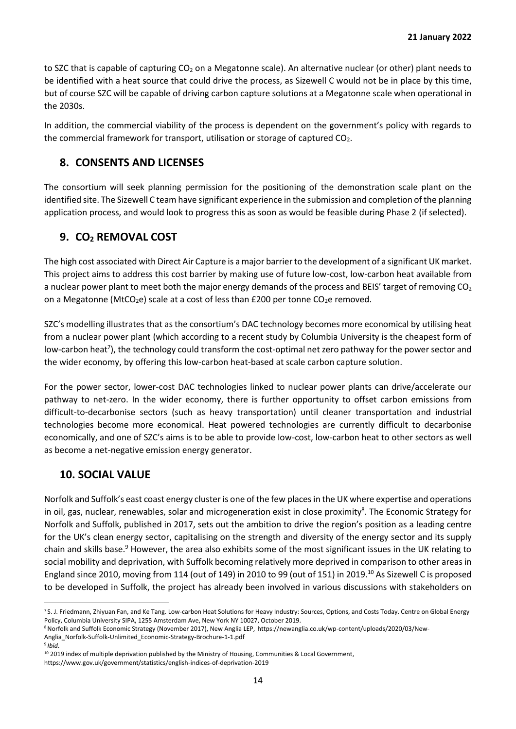to SZC that is capable of capturing  $CO<sub>2</sub>$  on a Megatonne scale). An alternative nuclear (or other) plant needs to be identified with a heat source that could drive the process, as Sizewell C would not be in place by this time, but of course SZC will be capable of driving carbon capture solutions at a Megatonne scale when operational in the 2030s.

In addition, the commercial viability of the process is dependent on the government's policy with regards to the commercial framework for transport, utilisation or storage of captured  $CO<sub>2</sub>$ .

# <span id="page-13-0"></span>**8. CONSENTS AND LICENSES**

The consortium will seek planning permission for the positioning of the demonstration scale plant on the identified site. The Sizewell C team have significant experience in the submission and completion of the planning application process, and would look to progress this as soon as would be feasible during Phase 2 (if selected).

# <span id="page-13-1"></span>**9. CO<sup>2</sup> REMOVAL COST**

The high cost associated with Direct Air Capture is a major barrier to the development of a significant UK market. This project aims to address this cost barrier by making use of future low-cost, low-carbon heat available from a nuclear power plant to meet both the major energy demands of the process and BEIS' target of removing  $CO<sub>2</sub>$ on a Megatonne (MtCO<sub>2</sub>e) scale at a cost of less than £200 per tonne CO<sub>2</sub>e removed.

SZC's modelling illustrates that as the consortium's DAC technology becomes more economical by utilising heat from a nuclear power plant (which according to a recent study by Columbia University is the cheapest form of low-carbon heat<sup>7</sup>), the technology could transform the cost-optimal net zero pathway for the power sector and the wider economy, by offering this low-carbon heat-based at scale carbon capture solution.

For the power sector, lower-cost DAC technologies linked to nuclear power plants can drive/accelerate our pathway to net-zero. In the wider economy, there is further opportunity to offset carbon emissions from difficult-to-decarbonise sectors (such as heavy transportation) until cleaner transportation and industrial technologies become more economical. Heat powered technologies are currently difficult to decarbonise economically, and one of SZC's aims is to be able to provide low-cost, low-carbon heat to other sectors as well as become a net-negative emission energy generator.

# <span id="page-13-2"></span>**10. SOCIAL VALUE**

Norfolk and Suffolk's east coast energy cluster is one of the few places in the UK where expertise and operations in oil, gas, nuclear, renewables, solar and microgeneration exist in close proximity<sup>8</sup>. The Economic Strategy for Norfolk and Suffolk, published in 2017, sets out the ambition to drive the region's position as a leading centre for the UK's clean energy sector, capitalising on the strength and diversity of the energy sector and its supply chain and skills base.<sup>9</sup> However, the area also exhibits some of the most significant issues in the UK relating to social mobility and deprivation, with Suffolk becoming relatively more deprived in comparison to other areas in England since 2010, moving from 114 (out of 149) in 2010 to 99 (out of 151) in 2019.<sup>10</sup> As Sizewell C is proposed to be developed in Suffolk, the project has already been involved in various discussions with stakeholders on

<sup>&</sup>lt;sup>7</sup> S. J. Friedmann, Zhiyuan Fan, and Ke Tang. Low-carbon Heat Solutions for Heavy Industry: Sources, Options, and Costs Today. Centre on Global Energy Policy, Columbia University SIPA, 1255 Amsterdam Ave, New York NY 10027, October 2019.

<sup>8</sup>Norfolk and Suffolk Economic Strategy (November 2017), New Anglia LEP, https://newanglia.co.uk/wp-content/uploads/2020/03/New-Anglia\_Norfolk-Suffolk-Unlimited\_Economic-Strategy-Brochure-1-1.pdf

<sup>9</sup> *Ibid*.

<sup>&</sup>lt;sup>10</sup> 2019 index of multiple deprivation published by the Ministry of Housing, Communities & Local Government,

https://www.gov.uk/government/statistics/english-indices-of-deprivation-2019